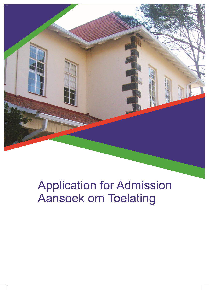

# **Application for Admission** Aansoek om Toelating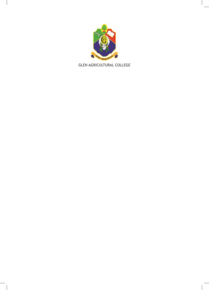

**GLEN AGRICULTURAL COLLEGE**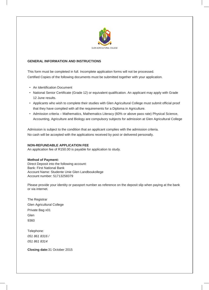

# **GENERAL INFORMATION AND INSTRUCTIONS**

This form must be completed in full. Incomplete application forms will not be processed. Certified Copies of the following documents must be submitted together with your application.

- An Identification Document
- National Senior Certificate (Grade 12) or equivalent qualification. An applicant may apply with Grade 12 June results.
- Applicants who wish to complete their studies with Glen Agricultural College must submit official proof that they have complied with all the requirements for a Diploma in Agriculture.
- Admission criteria Mathematics, Mathematics Literacy (60% or above pass rate) Physical Science, Accounting, Agriculture and Biology are compulsory subjects for admission at Glen Agricultural College

Admission is subject to the condition that an applicant complies with the admission criteria. No cash will be accepted with the applications received by post or delivered personally.

### **NON-REFUNDABLE APPLICATION FEE**

An application fee of R150.00 is payable for application to study.

#### **Method of Payment:**

Direct Deposit into the following account: Bank: First National Bank Account Name: Studente Unie Glen Landboukollege Account number: 51713258379

Please provide your identity or passport number as reference on the deposit slip when paying at the bank or via internet.

The Registrar Glen Agricultural College Private Bag x01 Glen 9360

Telephone: *051 861 8316 / 051 861 8314*

**Closing date:**31 October 2015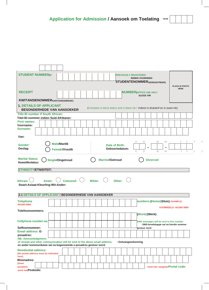|  |  |  | <b>Application for Admission / Aansoek om Toelating YEAR</b> |  |  |  |  |
|--|--|--|--------------------------------------------------------------|--|--|--|--|
|--|--|--|--------------------------------------------------------------|--|--|--|--|

 $\begin{array}{c} \hline \end{array}$ 

| <b>STUDENT NUMBER(IF</b>                                                                                               |        |                       |                                                       |  |  |                       |  |                | <b>PREVIOUSLY REGISTERED</b><br><b>INDIEN VOORHEEN</b><br><b>STUDENTENOMMER</b> GEREGISTREER) |                  |   |                                          |                       |             |   |
|------------------------------------------------------------------------------------------------------------------------|--------|-----------------------|-------------------------------------------------------|--|--|-----------------------|--|----------------|-----------------------------------------------------------------------------------------------|------------------|---|------------------------------------------|-----------------------|-------------|---|
|                                                                                                                        |        |                       |                                                       |  |  |                       |  |                |                                                                                               |                  |   |                                          | <b>PLACE ID PHOTO</b> |             |   |
| <b>RECEIPT</b>                                                                                                         |        |                       |                                                       |  |  |                       |  |                | <b>NUMBER (OFFICE USE ONLY</b>                                                                | <b>SLEGS VIR</b> |   |                                          |                       | <b>HERE</b> |   |
| <b>KWITANSIENOMMER KANTOORGEBRUIK)</b>                                                                                 |        |                       |                                                       |  |  |                       |  |                |                                                                                               |                  |   |                                          |                       |             |   |
| <b>1. DETAILS OF APPLICANT</b><br><b>BESONDERHEDE VAN AANSOEKER</b>                                                    |        |                       |                                                       |  |  |                       |  |                | (Complete in block letters and in black ink / Voltooi in drukskrif en in swart ink)           |                  |   |                                          |                       |             |   |
| <b>Title:ID number if South African:</b>                                                                               |        |                       |                                                       |  |  |                       |  |                |                                                                                               |                  |   |                                          |                       |             |   |
| Titel:ID-nommer indien Suid-Afrikaner:<br><b>First names:</b>                                                          |        |                       |                                                       |  |  |                       |  |                |                                                                                               |                  |   |                                          |                       |             |   |
| Voorname:                                                                                                              |        |                       |                                                       |  |  |                       |  |                |                                                                                               |                  |   |                                          |                       |             |   |
| <b>Surname:</b>                                                                                                        |        |                       |                                                       |  |  |                       |  |                |                                                                                               |                  |   |                                          |                       |             |   |
| Van:                                                                                                                   |        |                       |                                                       |  |  |                       |  |                |                                                                                               |                  |   |                                          |                       |             |   |
|                                                                                                                        |        |                       |                                                       |  |  |                       |  |                |                                                                                               |                  | M | M                                        |                       |             | Y |
| Gender:                                                                                                                |        | <b>Male/Manlik</b>    |                                                       |  |  | <b>Date of Birth:</b> |  |                |                                                                                               |                  |   |                                          |                       |             |   |
| Geslag:                                                                                                                |        | <b>Female/Vroulik</b> |                                                       |  |  |                       |  | Geboortedatum: | D                                                                                             | $\Box$           | M | M                                        |                       | J           |   |
| African: $\langle \cdot \rangle$<br>Swart:Asiaat:Kleurling:Wit:Ander:                                                  | Asian: |                       | Coloured: $\bigcup$ White: $\bigcup$ Other: $\bigcup$ |  |  |                       |  |                |                                                                                               |                  |   |                                          |                       |             |   |
| 2.1 DETAILS OF APPLICANT / BESONDERHEDE VAN AANSOEKER                                                                  |        |                       |                                                       |  |  |                       |  |                |                                                                                               |                  |   |                                          |                       |             |   |
| <b>Telephone</b><br>051000 9900                                                                                        |        |                       |                                                       |  |  |                       |  |                |                                                                                               |                  |   | numbers:(Home)/(Huis) EXAMPLE:           |                       |             |   |
|                                                                                                                        |        |                       |                                                       |  |  |                       |  |                |                                                                                               |                  |   | <b>VOORBEELD: 051000 9900</b>            |                       |             |   |
| Telefoonnommers:                                                                                                       |        |                       |                                                       |  |  |                       |  |                |                                                                                               | (Work)/(Werk)    |   |                                          |                       |             |   |
| <b>Cellphone number:NB:</b>                                                                                            |        |                       |                                                       |  |  |                       |  |                |                                                                                               |                  |   | SMS messages will be sent to this number |                       |             |   |
| Selfoonnommer:                                                                                                         |        |                       |                                                       |  |  |                       |  |                |                                                                                               | gestuur word     |   | : SMS-boodskappe sal na hierdie nommer   |                       |             |   |
| <b>Email address: E-</b>                                                                                               |        |                       |                                                       |  |  |                       |  |                |                                                                                               |                  |   |                                          |                       |             |   |
| posadres:<br><b>NB: Acknowledgement</b><br>of receipt and other communication will be sent to the above email address. |        |                       |                                                       |  |  |                       |  |                | : Ontvangserkenning                                                                           |                  |   |                                          |                       |             |   |
| en ander kommunikasie sal na bogenoemde e-posadres gestuur word.                                                       |        |                       |                                                       |  |  |                       |  |                |                                                                                               |                  |   |                                          |                       |             |   |
| <b>Residential address:</b><br>(No postal address must be indicated<br>here)                                           |        |                       |                                                       |  |  |                       |  |                |                                                                                               |                  |   |                                          |                       |             |   |
| <b>Woonadres:</b>                                                                                                      |        |                       |                                                       |  |  |                       |  |                |                                                                                               |                  |   |                                          |                       |             |   |
| (Geen<br>posadres<br>word nie)Poskode:                                                                                 |        |                       |                                                       |  |  |                       |  |                |                                                                                               |                  |   | moet hier aangeduiPostal code:           |                       |             |   |

 $\overline{\phantom{a}}$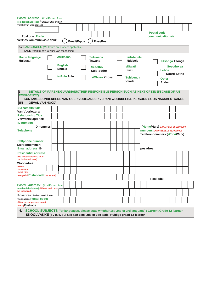| residential address) Posadres: (indien<br>verskil van woonadres)<br><b>Poskode: Prefer</b><br>Verkies kommunikasie deur:<br>2.2 LANGUAGES (Mark with an X where applicable)                                                                                                                                                                                                                                                                                                                     | Postal address: (if different from |                                 |                  | Email/E-pos |                                        |  |                 | Post/Pos                                  |                |  |  |                           |  |                                                              |           | <b>Postal code:</b><br>communication via:                                                         |  |                       |  |  |  |
|-------------------------------------------------------------------------------------------------------------------------------------------------------------------------------------------------------------------------------------------------------------------------------------------------------------------------------------------------------------------------------------------------------------------------------------------------------------------------------------------------|------------------------------------|---------------------------------|------------------|-------------|----------------------------------------|--|-----------------|-------------------------------------------|----------------|--|--|---------------------------|--|--------------------------------------------------------------|-----------|---------------------------------------------------------------------------------------------------|--|-----------------------|--|--|--|
| TALE (Merk met 'n X waar van toepassing)<br><b>Home language:</b><br>Huistaal:                                                                                                                                                                                                                                                                                                                                                                                                                  |                                    |                                 | <b>Afrikaans</b> |             |                                        |  | <b>Setswana</b> |                                           |                |  |  | <b>isiNdebele</b>         |  |                                                              |           |                                                                                                   |  |                       |  |  |  |
|                                                                                                                                                                                                                                                                                                                                                                                                                                                                                                 |                                    | <b>English</b><br><b>Engels</b> |                  |             | Tswana<br><b>Sesotho</b><br>Suid-Sotho |  |                 | <b>Ndebele</b><br>siSwati<br><b>Swati</b> |                |  |  |                           |  | <b>Xitsonga Tsonga</b><br>Sesotho sa<br>Leboa<br>Noord-Sotho |           |                                                                                                   |  |                       |  |  |  |
|                                                                                                                                                                                                                                                                                                                                                                                                                                                                                                 |                                    |                                 | isiZulu Zulu     |             |                                        |  |                 |                                           | isiXhosa Xhosa |  |  | <b>Tshivenda</b><br>Venda |  |                                                              |           |                                                                                                   |  | <b>Other</b><br>Ander |  |  |  |
| 3.<br>DETAILS OF PARENT/GUARDIAN/OTHER RESPONSIBLE PERSON SUCH AS NEXT OF KIN (IN CASE OF AN<br><b>EMERGENCY):</b><br>KONTAKBESONDERHEDE VAN OUER/VOOG/ANDER VERANTWOORDELIKE PERSOON SOOS NAASBESTAANDE<br><b>GEVAL VAN NOOD):</b><br>(IN)                                                                                                                                                                                                                                                     |                                    |                                 |                  |             |                                        |  |                 |                                           |                |  |  |                           |  |                                                              |           |                                                                                                   |  |                       |  |  |  |
|                                                                                                                                                                                                                                                                                                                                                                                                                                                                                                 |                                    |                                 |                  |             |                                        |  |                 |                                           |                |  |  |                           |  |                                                              |           |                                                                                                   |  |                       |  |  |  |
|                                                                                                                                                                                                                                                                                                                                                                                                                                                                                                 |                                    |                                 |                  |             |                                        |  |                 |                                           |                |  |  |                           |  |                                                              |           |                                                                                                   |  |                       |  |  |  |
|                                                                                                                                                                                                                                                                                                                                                                                                                                                                                                 |                                    |                                 |                  |             |                                        |  |                 |                                           |                |  |  |                           |  |                                                              |           |                                                                                                   |  |                       |  |  |  |
|                                                                                                                                                                                                                                                                                                                                                                                                                                                                                                 |                                    |                                 |                  |             |                                        |  |                 |                                           |                |  |  |                           |  |                                                              |           |                                                                                                   |  |                       |  |  |  |
|                                                                                                                                                                                                                                                                                                                                                                                                                                                                                                 |                                    |                                 |                  |             |                                        |  |                 |                                           |                |  |  |                           |  |                                                              |           |                                                                                                   |  |                       |  |  |  |
| ID-nommer:                                                                                                                                                                                                                                                                                                                                                                                                                                                                                      |                                    |                                 |                  |             |                                        |  |                 |                                           |                |  |  |                           |  |                                                              |           | (Home/Huis) EXAMPLE: 0510009900<br>numbers: VOORBEELD: 0510009900<br>Telefoonnommers: (Work/Werk) |  |                       |  |  |  |
|                                                                                                                                                                                                                                                                                                                                                                                                                                                                                                 |                                    |                                 |                  |             |                                        |  |                 |                                           |                |  |  |                           |  |                                                              | posadres: |                                                                                                   |  |                       |  |  |  |
|                                                                                                                                                                                                                                                                                                                                                                                                                                                                                                 |                                    |                                 |                  |             |                                        |  |                 |                                           |                |  |  |                           |  |                                                              |           |                                                                                                   |  |                       |  |  |  |
|                                                                                                                                                                                                                                                                                                                                                                                                                                                                                                 |                                    |                                 |                  |             |                                        |  |                 |                                           |                |  |  |                           |  |                                                              |           |                                                                                                   |  |                       |  |  |  |
|                                                                                                                                                                                                                                                                                                                                                                                                                                                                                                 |                                    |                                 |                  |             |                                        |  |                 |                                           |                |  |  |                           |  |                                                              |           | Poskode:                                                                                          |  |                       |  |  |  |
|                                                                                                                                                                                                                                                                                                                                                                                                                                                                                                 |                                    |                                 |                  |             |                                        |  |                 |                                           |                |  |  |                           |  |                                                              |           |                                                                                                   |  |                       |  |  |  |
| Surname: Initials:<br><b>Van:Voorletters:</b><br><b>Relationship: Title:</b><br>Verwantskap: Titel:<br><b>ID</b> number:<br><b>Telephone</b><br><b>Cellphone number:</b><br>Selfoonnommer:<br><b>Email address: E-</b><br><b>Residential address:</b><br>(No postal address must<br>be indicated here)<br><b>Woonadres:</b><br>(Geen<br>posadres<br>moet hier<br>aangeduiPostal code: word nie)<br>Postal address: (if different from<br>residential address) (Where mail must<br>be delivered) |                                    |                                 |                  |             |                                        |  |                 |                                           |                |  |  |                           |  |                                                              |           |                                                                                                   |  |                       |  |  |  |

**SKOOLVAKKE (by tale, dui asb aan 1ste, 2de of 3de taal) / Huidige graad 12-leerder**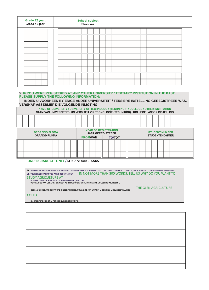| Grade 12 year:<br>Graad 12-jaar: | <b>School subject:</b><br>Skoolvak: |  |  |  |  |  |  |  |  |  |  |  |  |  |
|----------------------------------|-------------------------------------|--|--|--|--|--|--|--|--|--|--|--|--|--|
|                                  |                                     |  |  |  |  |  |  |  |  |  |  |  |  |  |
|                                  |                                     |  |  |  |  |  |  |  |  |  |  |  |  |  |
|                                  |                                     |  |  |  |  |  |  |  |  |  |  |  |  |  |
|                                  |                                     |  |  |  |  |  |  |  |  |  |  |  |  |  |
|                                  |                                     |  |  |  |  |  |  |  |  |  |  |  |  |  |
|                                  |                                     |  |  |  |  |  |  |  |  |  |  |  |  |  |
|                                  |                                     |  |  |  |  |  |  |  |  |  |  |  |  |  |
|                                  |                                     |  |  |  |  |  |  |  |  |  |  |  |  |  |
|                                  |                                     |  |  |  |  |  |  |  |  |  |  |  |  |  |

#### **5. IF YOU WERE REGISTERED AT ANY OTHER UNIVERSITY / TERTIARY INSTITUTION IN THE PAST, PLEASE SUPPLY THE FOLLOWING INFORMATION:**

**INDIEN U VOORHEEN BY ENIGE ANDER UNIVERSITEIT / TERSIÊRE INSTELLING GEREGISTREER WAS, VERSKAF ASSEBLIEF DIE VOLGENDE INLIGTING:**

NAME OF UNIVERSITY / UNIVERSITY OF TECHNOLOGY (TECHNIKON) / COLLEGE / OTHER INSTITUTION NAAM VAN UNIVERSITEIT / UNIVERSITEIT VIR TEGNOLOGIE (TECHNIKON) / KOLLEGE / ANDER INSTELLING

| <b>DEGREE/DIPLOMA</b><br><b>GRAAD/DIPLOMA</b> | <b>YEAR OF REGISTRATION</b><br><b>JAAR GEREGISTREER</b> | <b>STUDENT NUMBER</b><br><b>STUDENTENOMMER</b> |
|-----------------------------------------------|---------------------------------------------------------|------------------------------------------------|
|                                               | <b>FROM/VAN</b><br><b>TO/TOT</b>                        |                                                |
|                                               |                                                         |                                                |
|                                               |                                                         |                                                |
|                                               |                                                         |                                                |

# **UNDERGRADUATE ONLY** / **SLEGS VOORGRAADS**

| 16. IN NO MORE THAN 200 WORDS, PLEASE TELL US MORE ABOUT YOURSELF. YOU COULD MENTION YOUR FAMILY, YOUR SCHOOL, YOUR EXPERIENCES GROWING<br>IN NOT MORE THAN 300 WORDS, TELL US WHY DO YOU WANT TO<br>UP, YOUR SKILLS (WHAT YOU ARE GOOD AT), YOUR<br><b>STUDY AGRICULTURE AT</b><br>INTERESTS AND HOBBIES AND YOUR PERSONAL QUALITIES.<br>VERTEL ONS VAN USELF IN NIE MEER AS 200 WOORDE. U SAL MISKIEN DIE VOLGENDE WIL NOEM: U |
|----------------------------------------------------------------------------------------------------------------------------------------------------------------------------------------------------------------------------------------------------------------------------------------------------------------------------------------------------------------------------------------------------------------------------------|
| THE GLEN AGRICULTURE<br>GESIN, U SKOOL, U GROOTWORD-ONDERVINDINGE, U TALENTE (DIT WAARIN U GOED IS), U BELANGSTELLINGS                                                                                                                                                                                                                                                                                                           |
| COLLEGE.                                                                                                                                                                                                                                                                                                                                                                                                                         |
| EN STOKPERDJIES EN U PERSOONLIKE EIENSKAPPE.                                                                                                                                                                                                                                                                                                                                                                                     |
|                                                                                                                                                                                                                                                                                                                                                                                                                                  |
|                                                                                                                                                                                                                                                                                                                                                                                                                                  |
|                                                                                                                                                                                                                                                                                                                                                                                                                                  |
|                                                                                                                                                                                                                                                                                                                                                                                                                                  |
|                                                                                                                                                                                                                                                                                                                                                                                                                                  |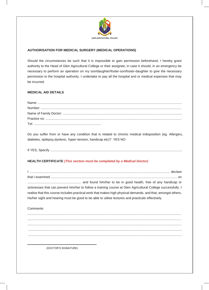

# **AUTHORISATION FOR MEDICAL SURGERY (MEDICAL OPERATIONS)**

Should the circumstances be such that it is impossible to gain permission beforehand, I hereby grant authority to the Head of Glen Agricultural College or their assignee, in case it should, in an emergency be necessary to perform an operation on my son/daughter/foster-son/foster-daughter to give the necessary permission to the hospital authority. I undertake to pay all the hospital and or medical expenses that may be incurred.

# **MEDICAL AID DETAILS**

Do you suffer from or have any condition that is related to chronic medical indisposition (eg. Allergies, diabetes, epilepsy,dyslexic, hyper-tension, handicap etc)? YES NO

If YES, Specify .................................................................................................................................................

# **HEALTH CERTIFICATE** *(This section must be completed by a Medical Doctor)*

I .......................................................................................................................................................... declare that I examined ........................................................................................................................................... on ........................................................... and found him/her to be in good health, free of any handicap or sicknesses that can prevent him/her to follow a training course at Glen Agricultural College successfully. I realise that this course includes practical work that makes high physical demands, and that, amongst others, his/her sight and hearing must be good to be able to utilise lectures and practicals effectively.

**Comments** 

......................................................................................................................................................................... ......................................................................................................................................................................... ......................................................................................................................................................................... ......................................................................................................................................................................... .........................................................................................................................................................................

(DOCTOR'S SIGNATURE)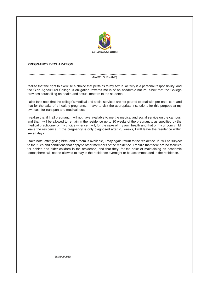

#### **PREGNANCY DECLARATION**

#### I ....................................................................................................................................................................... (NAME / SURNAME)

realise that the right to exercise a choice that pertains to my sexual activity is a personal responsibility, and the Glen Agricultural College 's obligation towards me is of an academic nature, albeit that the College provides counselling on health and sexual matters to the students.

I also take note that the college's medical and social services are not geared to deal with pre-natal care and that for the sake of a healthy pregnancy, I have to visit the appropriate institutions for this purpose at my own cost for transport and medical fees.

I realize that if I fall pregnant, I will not have available to me the medical and social service on the campus, and that I will be allowed to remain in the residence up to 20 weeks of the pregnancy, as specified by the medical practitioner of my choice whence I will, for the sake of my own health and that of my unborn child, leave the residence. If the pregnancy is only diagnosed after 20 weeks, I will leave the residence within seven days.

I take note, after giving birth, and a room is available, I may again return to the residence. If I will be subject to the rules and conditions that apply to other members of the residence. I realize that there are no facilities for babies and older children in the residence, and that they, for the sake of maintaining an academic atmosphere, will not be allowed to stay in the residence overnight or be accommodated in the residence.

(SIGNATURE)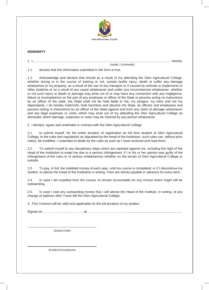

# **INDEMNITY**

|         | _____ |
|---------|-------|
| . IV/LI |       |

1.1. declare that the information submitted in the form is true.

1.2. Acknowledge and declare that should as a result of my attending the Glen Agricultural College, whether during or in the course of training or not, sustain bodily injury, death or suffer any damage whatsoever to my property, as a result of the use of any transport or if caused by animals or implements or other students or as a result of any cause whatsoever and under any circumstances whatsoever, whether or not such injury or death or damage may arise out of or may have any connection with any negligence, failure or incompetence on the part of any employee or officer of the State or persons acting on instructions by an officer of the state, the State shall not be held liable to me, my assigns, my heirs and not my dependants, I do hereby indemnify, hold harmless and absolve the State, its officers and employees and persons acting in instructions by an officer of the State against and from any claim of damage whatsoever and any legal expenses or costs, which may arise out of my attending the Glen Agricultural College as aforesaid, which damage, expenses or costs may be claimed by any person whatsoever

2. I declare, agree and undertake in contract with the Glen Agricultural College

2.1. to submit myself, for the entire duration of registration as full time student at Glen Agricultural College, to the rules and regulations as stipulated by the Head of the Institution, such rules can, without prior notice, be modified. I undertake to abide by the rules as soon as I have received and read them.

2.2. To submit myself to any disciplinary steps which are reported against me, including the right of the Head of the Institution to expel me due to a serious infringement, if I in his or her opinion was guilty of the infringement of the rules or of serious misbehaviour whether on the terrain of Glen Agricultural College or outside.

2.3. To pay, in full, the indebted money of each year, until my course is completed, or if I discontinue my studies, to advise the Head of the Institution in writing. Fees are strictly payable in advance for every term.

2.4. In case I am expelled from the course, to remain accountable for any money which might still be outstanding.

2.5. In case I owe any outstanding money that I will advise the Head of the Institute, in writing, of any change of address after I have left the Glen Agricultural College.

3. This Contract will be valid and applicable for the full duration of my studies.

Signed on………………........…………..at……………………………….............................................................

(SIGNATURE)

(PARENT/GUARDIAN)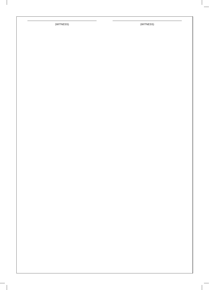(WITNESS) (WITNESS)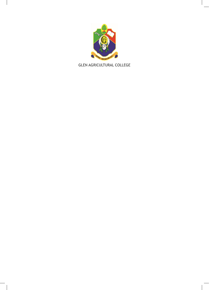

**GLEN AGRICULTURAL COLLEGE**